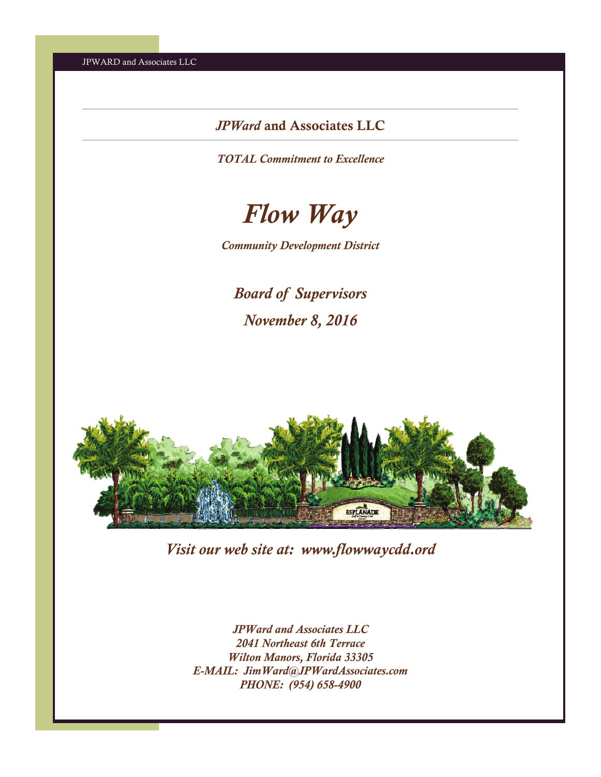# *JPWard* and Associates LLC

*TOTAL Commitment to Excellence* 



*Community Development District* 

*Board of Supervisors November 8, 2016* 



*Visit our web site at: www.flowwaycdd.ord* 

*JPWard and Associates LLC 2041 Northeast 6th Terrace Wilton Manors, Florida 33305 E-MAIL: JimWard@JPWardAssociates.com PHONE: (954) 658-4900*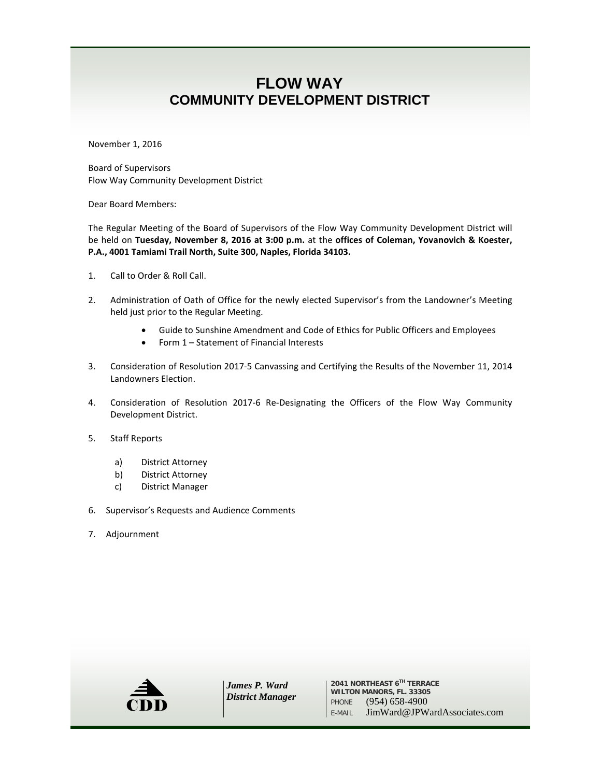# **FLOW WAY COMMUNITY DEVELOPMENT DISTRICT**

November 1, 2016

Board of Supervisors Flow Way Community Development District

Dear Board Members:

The Regular Meeting of the Board of Supervisors of the Flow Way Community Development District will be held on **Tuesday, November 8, 2016 at 3:00 p.m.** at the **offices of Coleman, Yovanovich & Koester, P.A., 4001 Tamiami Trail North, Suite 300, Naples, Florida 34103.**

- 1. Call to Order & Roll Call.
- 2. Administration of Oath of Office for the newly elected Supervisor's from the Landowner's Meeting held just prior to the Regular Meeting.
	- Guide to Sunshine Amendment and Code of Ethics for Public Officers and Employees
	- Form 1 Statement of Financial Interests
- 3. Consideration of Resolution 2017-5 Canvassing and Certifying the Results of the November 11, 2014 Landowners Election.
- 4. Consideration of Resolution 2017-6 Re-Designating the Officers of the Flow Way Community Development District.
- 5. Staff Reports
	- a) District Attorney
	- b) District Attorney
	- c) District Manager
- 6. Supervisor's Requests and Audience Comments
- 7. Adjournment



*James P. Ward District Manager*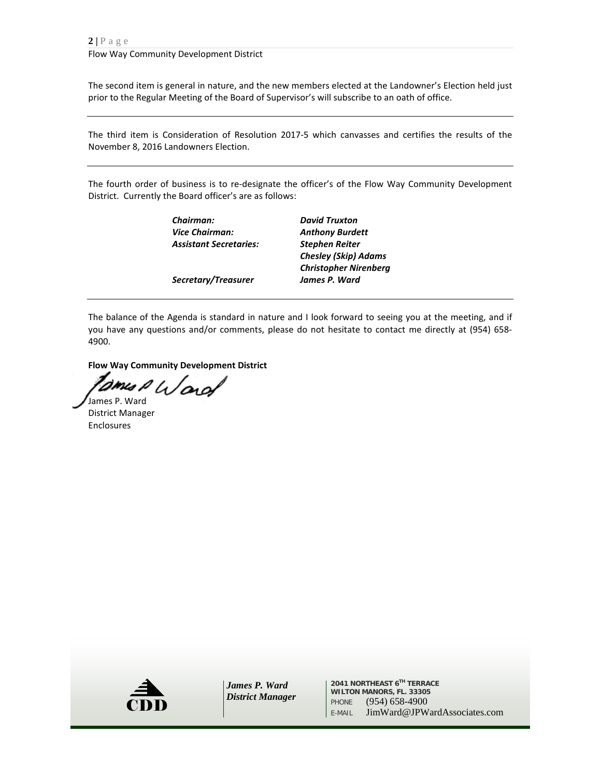The second item is general in nature, and the new members elected at the Landowner's Election held just prior to the Regular Meeting of the Board of Supervisor's will subscribe to an oath of office.

The third item is Consideration of Resolution 2017-5 which canvasses and certifies the results of the November 8, 2016 Landowners Election.

The fourth order of business is to re-designate the officer's of the Flow Way Community Development District. Currently the Board officer's are as follows:

> *Vice Chairman: Anthony Burdett Assistant Secretaries: Stephen Reiter*

*Chairman: David Truxton Chesley (Skip) Adams Christopher Nirenberg Secretary/Treasurer James P. Ward*

The balance of the Agenda is standard in nature and I look forward to seeing you at the meeting, and if you have any questions and/or comments, please do not hesitate to contact me directly at (954) 658- 4900.

**Flow Way Community Development District**

James P Ward

District Manager Enclosures



*James P. Ward District Manager*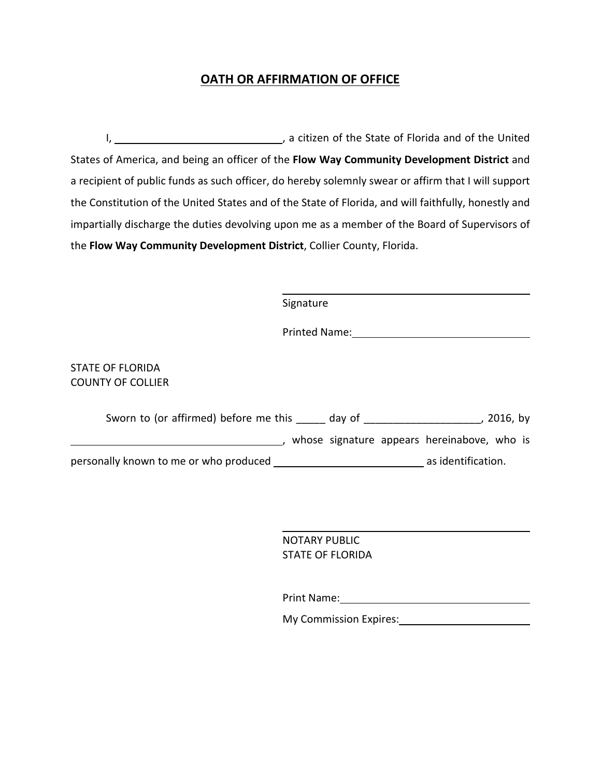## **OATH OR AFFIRMATION OF OFFICE**

I, 1. All 2013 Contracts (2014) And The State of Florida and of the United States of America, and being an officer of the **Flow Way Community Development District** and a recipient of public funds as such officer, do hereby solemnly swear or affirm that I will support the Constitution of the United States and of the State of Florida, and will faithfully, honestly and impartially discharge the duties devolving upon me as a member of the Board of Supervisors of the **Flow Way Community Development District**, Collier County, Florida.

| Signature                                                    |
|--------------------------------------------------------------|
|                                                              |
| STATE OF FLORIDA<br><b>COUNTY OF COLLIER</b>                 |
| Sworn to (or affirmed) before me this day of<br>2016, by     |
| whose signature appears hereinabove, who is                  |
| as identification.<br>personally known to me or who produced |

NOTARY PUBLIC STATE OF FLORIDA

Print Name: 1988 and 2008 and 2008 and 2008 and 2008 and 2008 and 2008 and 2008 and 2008 and 2008 and 2008 and 2008 and 2008 and 2008 and 2008 and 2008 and 2008 and 2008 and 2008 and 2008 and 2008 and 2008 and 2008 and 200

My Commission Expires: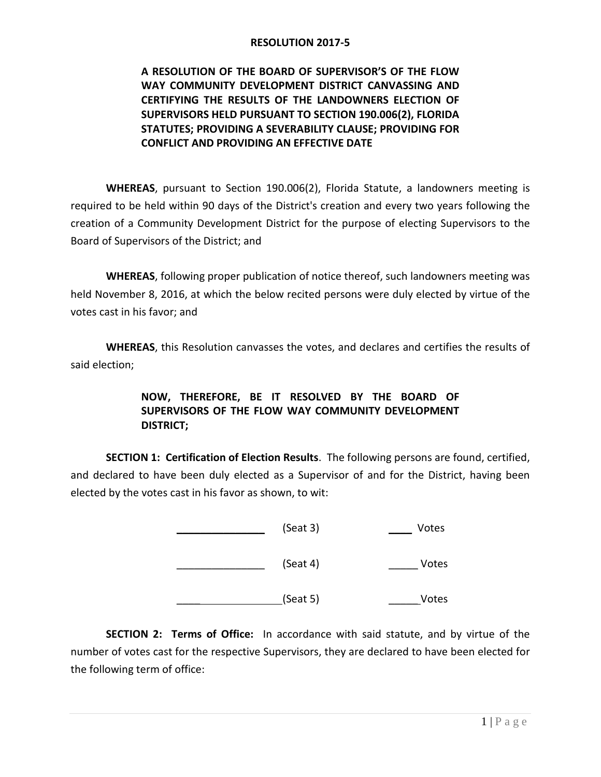**A RESOLUTION OF THE BOARD OF SUPERVISOR'S OF THE FLOW WAY COMMUNITY DEVELOPMENT DISTRICT CANVASSING AND CERTIFYING THE RESULTS OF THE LANDOWNERS ELECTION OF SUPERVISORS HELD PURSUANT TO SECTION 190.006(2), FLORIDA STATUTES; PROVIDING A SEVERABILITY CLAUSE; PROVIDING FOR CONFLICT AND PROVIDING AN EFFECTIVE DATE**

**WHEREAS**, pursuant to Section 190.006(2), Florida Statute, a landowners meeting is required to be held within 90 days of the District's creation and every two years following the creation of a Community Development District for the purpose of electing Supervisors to the Board of Supervisors of the District; and

**WHEREAS**, following proper publication of notice thereof, such landowners meeting was held November 8, 2016, at which the below recited persons were duly elected by virtue of the votes cast in his favor; and

**WHEREAS**, this Resolution canvasses the votes, and declares and certifies the results of said election;

## **NOW, THEREFORE, BE IT RESOLVED BY THE BOARD OF SUPERVISORS OF THE FLOW WAY COMMUNITY DEVELOPMENT DISTRICT;**

**SECTION 1: Certification of Election Results**. The following persons are found, certified, and declared to have been duly elected as a Supervisor of and for the District, having been elected by the votes cast in his favor as shown, to wit:

| Votes | (Seat 3) |
|-------|----------|
| Votes | (Seat 4) |
| Votes | (Seat 5) |

**SECTION 2: Terms of Office:** In accordance with said statute, and by virtue of the number of votes cast for the respective Supervisors, they are declared to have been elected for the following term of office: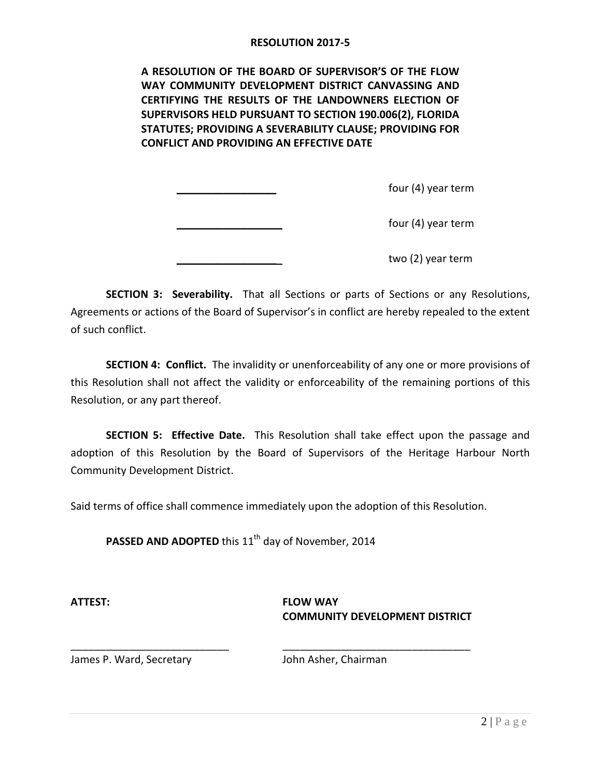**A RESOLUTION OF THE BOARD OF SUPERVISOR'S OF THE FLOW WAY COMMUNITY DEVELOPMENT DISTRICT CANVASSING AND CERTIFYING THE RESULTS OF THE LANDOWNERS ELECTION OF SUPERVISORS HELD PURSUANT TO SECTION 190.006(2), FLORIDA STATUTES; PROVIDING A SEVERABILITY CLAUSE; PROVIDING FOR CONFLICT AND PROVIDING AN EFFECTIVE DATE**

 $four (4)$  year term

four (4) year term

two (2) year term

**SECTION 3: Severability.** That all Sections or parts of Sections or any Resolutions, Agreements or actions of the Board of Supervisor's in conflict are hereby repealed to the extent of such conflict.

**SECTION 4: Conflict.** The invalidity or unenforceability of any one or more provisions of this Resolution shall not affect the validity or enforceability of the remaining portions of this Resolution, or any part thereof.

**SECTION 5: Effective Date.** This Resolution shall take effect upon the passage and adoption of this Resolution by the Board of Supervisors of the Heritage Harbour North Community Development District.

Said terms of office shall commence immediately upon the adoption of this Resolution.

\_\_\_\_\_\_\_\_\_\_\_\_\_\_\_\_\_\_\_\_\_\_\_\_\_\_\_ \_\_\_\_\_\_\_\_\_\_\_\_\_\_\_\_\_\_\_\_\_\_\_\_\_\_\_\_\_\_\_\_

**PASSED AND ADOPTED** this 11<sup>th</sup> day of November, 2014

**ATTEST: FLOW WAY COMMUNITY DEVELOPMENT DISTRICT**

James P. Ward, Secretary John Asher, Chairman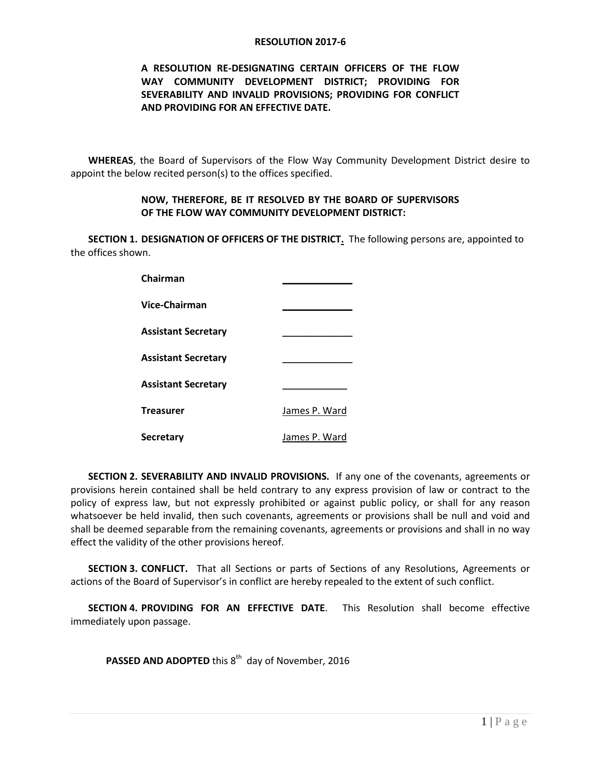## **A RESOLUTION RE-DESIGNATING CERTAIN OFFICERS OF THE FLOW WAY COMMUNITY DEVELOPMENT DISTRICT; PROVIDING FOR SEVERABILITY AND INVALID PROVISIONS; PROVIDING FOR CONFLICT AND PROVIDING FOR AN EFFECTIVE DATE.**

**WHEREAS**, the Board of Supervisors of the Flow Way Community Development District desire to appoint the below recited person(s) to the offices specified.

#### **NOW, THEREFORE, BE IT RESOLVED BY THE BOARD OF SUPERVISORS OF THE FLOW WAY COMMUNITY DEVELOPMENT DISTRICT:**

**SECTION 1. DESIGNATION OF OFFICERS OF THE DISTRICT.** The following persons are, appointed to the offices shown.

| Chairman                   |               |
|----------------------------|---------------|
| Vice-Chairman              |               |
| <b>Assistant Secretary</b> |               |
| <b>Assistant Secretary</b> |               |
| <b>Assistant Secretary</b> |               |
| <b>Treasurer</b>           | James P. Ward |
| <b>Secretary</b>           | James P. Ward |

**SECTION 2. SEVERABILITY AND INVALID PROVISIONS.** If any one of the covenants, agreements or provisions herein contained shall be held contrary to any express provision of law or contract to the policy of express law, but not expressly prohibited or against public policy, or shall for any reason whatsoever be held invalid, then such covenants, agreements or provisions shall be null and void and shall be deemed separable from the remaining covenants, agreements or provisions and shall in no way effect the validity of the other provisions hereof.

**SECTION 3. CONFLICT.** That all Sections or parts of Sections of any Resolutions, Agreements or actions of the Board of Supervisor's in conflict are hereby repealed to the extent of such conflict.

**SECTION 4. PROVIDING FOR AN EFFECTIVE DATE**. This Resolution shall become effective immediately upon passage.

PASSED AND ADOPTED this 8<sup>th</sup> day of November, 2016